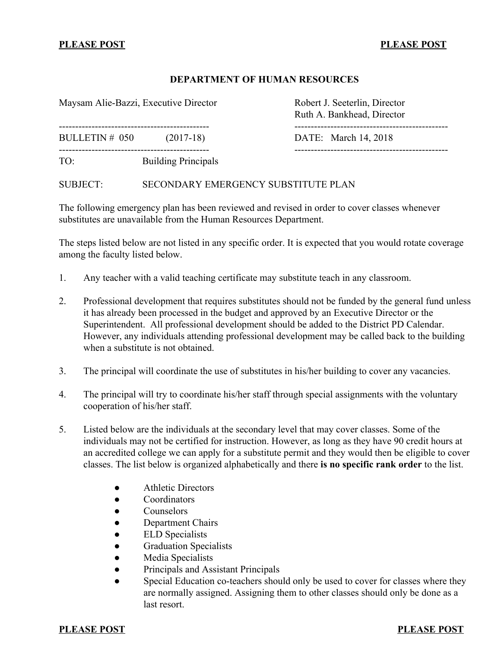# **PLEASE POST PLEASE POST**

### **DEPARTMENT OF HUMAN RESOURCES**

Maysam Alie-Bazzi, Executive Director Robert J. Seeterlin, Director

Ruth A. Bankhead, Director ---------------------------------------------- ----------------------------------------------- BULLETIN # 050 (2017-18) DATE: March 14, 2018 ---------------------------------------------- -----------------------------------------------

TO: Building Principals

SUBJECT: SECONDARY EMERGENCY SUBSTITUTE PLAN

The following emergency plan has been reviewed and revised in order to cover classes whenever substitutes are unavailable from the Human Resources Department.

The steps listed below are not listed in any specific order. It is expected that you would rotate coverage among the faculty listed below.

- 1. Any teacher with a valid teaching certificate may substitute teach in any classroom.
- 2. Professional development that requires substitutes should not be funded by the general fund unless it has already been processed in the budget and approved by an Executive Director or the Superintendent. All professional development should be added to the District PD Calendar. However, any individuals attending professional development may be called back to the building when a substitute is not obtained.
- 3. The principal will coordinate the use of substitutes in his/her building to cover any vacancies.
- 4. The principal will try to coordinate his/her staff through special assignments with the voluntary cooperation of his/her staff.
- 5. Listed below are the individuals at the secondary level that may cover classes. Some of the individuals may not be certified for instruction. However, as long as they have 90 credit hours at an accredited college we can apply for a substitute permit and they would then be eligible to cover classes. The list below is organized alphabetically and there **is no specific rank order** to the list.
	- Athletic Directors
	- Coordinators
	- Counselors
	- Department Chairs
	- ELD Specialists
	- **Graduation Specialists**
	- Media Specialists
	- Principals and Assistant Principals
	- Special Education co-teachers should only be used to cover for classes where they are normally assigned. Assigning them to other classes should only be done as a last resort.